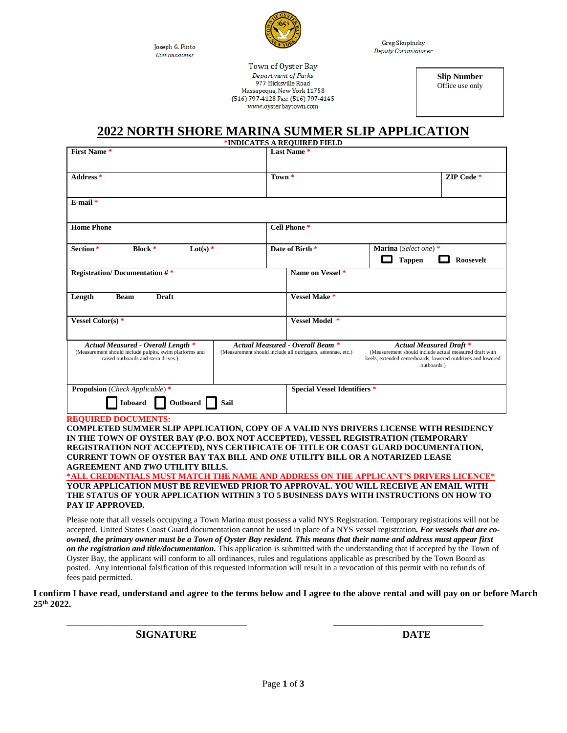Joseph G. Pinto Commissioner



**Greg Skupinsky** Deputy Commissioner

Town of Oyster Bay Department of Parks 977 Hicksville Road Massapequa, New York 11758 (516) 797-4128 Fax: (516) 797-4145 www.ovsterbavtown.com

**Slip Number** Office use only

## **2022 NORTH SHORE MARINA SUMMER SLIP APPLICATION**

| *INDICATES A REQUIRED FIELD                                                                                                          |  |                                                                                                        |                                                                                                                                                                        |            |
|--------------------------------------------------------------------------------------------------------------------------------------|--|--------------------------------------------------------------------------------------------------------|------------------------------------------------------------------------------------------------------------------------------------------------------------------------|------------|
| <b>First Name*</b>                                                                                                                   |  | Last Name*                                                                                             |                                                                                                                                                                        |            |
| Address *                                                                                                                            |  | Town *                                                                                                 |                                                                                                                                                                        | ZIP Code * |
| $E$ -mail $*$                                                                                                                        |  |                                                                                                        |                                                                                                                                                                        |            |
| <b>Home Phone</b>                                                                                                                    |  | Cell Phone *                                                                                           |                                                                                                                                                                        |            |
| Section <sup>*</sup><br><b>Block</b> $*$<br>Lot(s) $*$                                                                               |  | Date of Birth *<br>Marina (Select one) *<br><b>Tappen</b><br>Roosevelt                                 |                                                                                                                                                                        |            |
| <b>Registration/Documentation #*</b>                                                                                                 |  | Name on Vessel <sup>*</sup>                                                                            |                                                                                                                                                                        |            |
| <b>Draft</b><br><b>Beam</b><br>Length                                                                                                |  | Vessel Make *                                                                                          |                                                                                                                                                                        |            |
| Vessel Color(s) $*$                                                                                                                  |  | Vessel Model *                                                                                         |                                                                                                                                                                        |            |
| Actual Measured - Overall Length *<br>(Measurement should include pulpits, swim platforms and<br>raised outboards and stern drives.) |  | <b>Actual Measured - Overall Beam *</b><br>(Measurement should include all outriggers, antennae, etc.) | <b>Actual Measured Draft *</b><br>(Measurement should include actual measured draft with<br>keels, extended centerboards, lowered outdrives and lowered<br>outboards.) |            |
| <b>Propulsion</b> (Check Applicable)*<br>Outboard<br>Inboard<br>Sail                                                                 |  | <b>Special Vessel Identifiers *</b>                                                                    |                                                                                                                                                                        |            |

**REQUIRED DOCUMENTS:** 

**COMPLETED SUMMER SLIP APPLICATION, COPY OF A VALID NYS DRIVERS LICENSE WITH RESIDENCY IN THE TOWN OF OYSTER BAY (P.O. BOX NOT ACCEPTED), VESSEL REGISTRATION (TEMPORARY REGISTRATION NOT ACCEPTED), NYS CERTIFICATE OF TITLE OR COAST GUARD DOCUMENTATION, CURRENT TOWN OF OYSTER BAY TAX BILL AND** *ONE* **UTILITY BILL OR A NOTARIZED LEASE AGREEMENT AND** *TWO* **UTILITY BILLS.** 

**\*ALL CREDENTIALS MUST MATCH THE NAME AND ADDRESS ON THE APPLICANT'S DRIVERS LICENCE\* YOUR APPLICATION MUST BE REVIEWED PRIOR TO APPROVAL. YOU WILL RECEIVE AN EMAIL WITH THE STATUS OF YOUR APPLICATION WITHIN 3 TO 5 BUSINESS DAYS WITH INSTRUCTIONS ON HOW TO PAY IF APPROVED.**

Please note that all vessels occupying a Town Marina must possess a valid NYS Registration. Temporary registrations will not be accepted. United States Coast Guard documentation cannot be used in place of a NYS vessel registration*. For vessels that are coowned, the primary owner must be a Town of Oyster Bay resident. This means that their name and address must appear first on the registration and title/documentation.* This application is submitted with the understanding that if accepted by the Town of Oyster Bay, the applicant will conform to all ordinances, rules and regulations applicable as prescribed by the Town Board as posted. Any intentional falsification of this requested information will result in a revocation of this permit with no refunds of fees paid permitted.

**I confirm I have read, understand and agree to the terms below and I agree to the above rental and will pay on or before March 25th 2022.** 

\_\_\_\_\_\_\_\_\_\_\_\_\_\_\_\_\_\_\_\_\_\_\_\_\_\_\_\_\_\_\_\_\_\_\_\_\_\_\_ \_\_\_\_\_\_\_\_\_\_\_\_\_\_\_\_\_\_\_\_\_\_\_\_\_\_\_

**SIGNATURE DATE**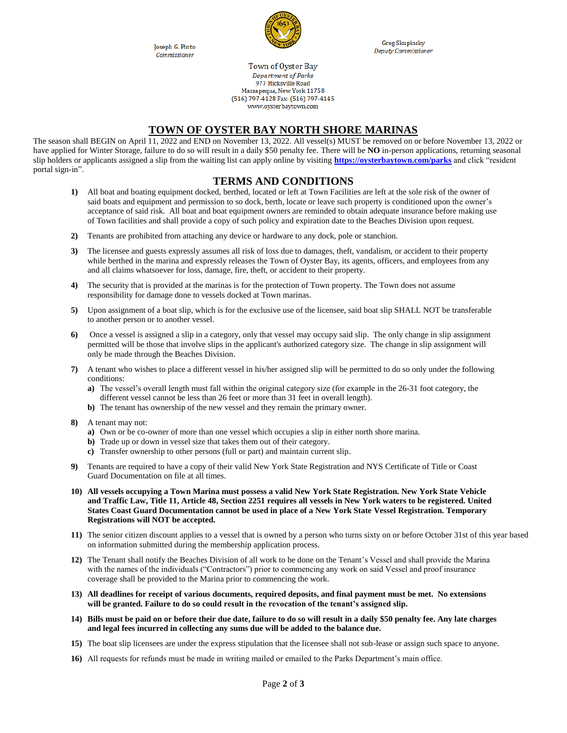Joseph G. Pinto Commissioner



**Greg Skupinsky** Deputy Commissioner

Town of Oyster Bay Department of Parks 977 Hicksville Road Massapequa, New York 11758 (516) 797-4128 Fax: (516) 797-4145 www.ovsterbavtown.com

## **TOWN OF OYSTER BAY NORTH SHORE MARINAS**

The season shall BEGIN on April 11, 2022 and END on November 13, 2022. All vessel(s) MUST be removed on or before November 13, 2022 or have applied for Winter Storage, failure to do so will result in a daily \$50 penalty fee. There will be **NO** in-person applications, returning seasonal slip holders or applicants assigned a slip from the waiting list can apply online by visiting **<https://oysterbaytown.com/parks>** and click "resident portal sign-in".

## **TERMS AND CONDITIONS**

- **1)** All boat and boating equipment docked, berthed, located or left at Town Facilities are left at the sole risk of the owner of said boats and equipment and permission to so dock, berth, locate or leave such property is conditioned upon the owner's acceptance of said risk. All boat and boat equipment owners are reminded to obtain adequate insurance before making use of Town facilities and shall provide a copy of such policy and expiration date to the Beaches Division upon request.
- **2)** Tenants are prohibited from attaching any device or hardware to any dock, pole or stanchion.
- **3)** The licensee and guests expressly assumes all risk of loss due to damages, theft, vandalism, or accident to their property while berthed in the marina and expressly releases the Town of Oyster Bay, its agents, officers, and employees from any and all claims whatsoever for loss, damage, fire, theft, or accident to their property.
- **4)** The security that is provided at the marinas is for the protection of Town property. The Town does not assume responsibility for damage done to vessels docked at Town marinas.
- **5)** Upon assignment of a boat slip, which is for the exclusive use of the licensee, said boat slip SHALL NOT be transferable to another person or to another vessel.
- **6)** Once a vessel is assigned a slip in a category, only that vessel may occupy said slip. The only change in slip assignment permitted will be those that involve slips in the applicant's authorized category size. The change in slip assignment will only be made through the Beaches Division.
- **7)** A tenant who wishes to place a different vessel in his/her assigned slip will be permitted to do so only under the following conditions:
	- **a)** The vessel's overall length must fall within the original category size (for example in the 26-31 foot category, the different vessel cannot be less than 26 feet or more than 31 feet in overall length).
	- **b)** The tenant has ownership of the new vessel and they remain the primary owner.
- **8)** A tenant may not:
	- **a)** Own or be co-owner of more than one vessel which occupies a slip in either north shore marina.
	- **b)** Trade up or down in vessel size that takes them out of their category.
	- **c)** Transfer ownership to other persons (full or part) and maintain current slip.
- **9)** Tenants are required to have a copy of their valid New York State Registration and NYS Certificate of Title or Coast Guard Documentation on file at all times.
- **10) All vessels occupying a Town Marina must possess a valid New York State Registration. New York State Vehicle and Traffic Law, Title 11, Article 48, Section 2251 requires all vessels in New York waters to be registered. United States Coast Guard Documentation cannot be used in place of a New York State Vessel Registration. Temporary Registrations will NOT be accepted.**
- **11)** The senior citizen discount applies to a vessel that is owned by a person who turns sixty on or before October 31st of this year based on information submitted during the membership application process.
- **12)** The Tenant shall notify the Beaches Division of all work to be done on the Tenant's Vessel and shall provide the Marina with the names of the individuals ("Contractors") prior to commencing any work on said Vessel and proof insurance coverage shall be provided to the Marina prior to commencing the work.
- **13) All deadlines for receipt of various documents, required deposits, and final payment must be met. No extensions will be granted. Failure to do so could result in the revocation of the tenant's assigned slip.**
- **14) Bills must be paid on or before their due date, failure to do so will result in a daily \$50 penalty fee. Any late charges and legal fees incurred in collecting any sums due will be added to the balance due.**
- **15)** The boat slip licensees are under the express stipulation that the licensee shall not sub-lease or assign such space to anyone.
- **16)** All requests for refunds must be made in writing mailed or emailed to the Parks Department's main office.